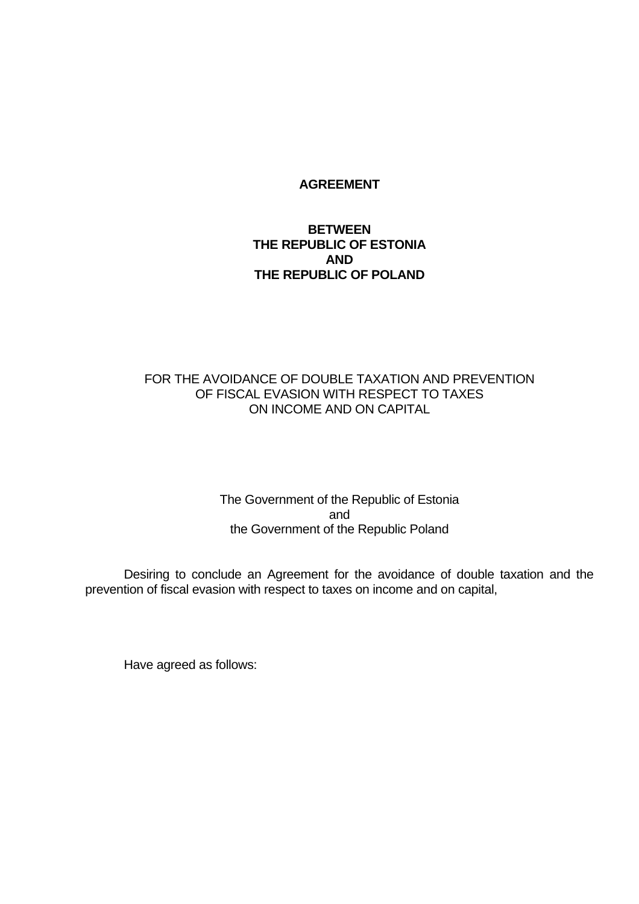### **AGREEMENT**

## **BETWEEN THE REPUBLIC OF ESTONIA AND THE REPUBLIC OF POLAND**

## FOR THE AVOIDANCE OF DOUBLE TAXATION AND PREVENTION OF FISCAL EVASION WITH RESPECT TO TAXES ON INCOME AND ON CAPITAL

The Government of the Republic of Estonia and the Government of the Republic Poland

 Desiring to conclude an Agreement for the avoidance of double taxation and the prevention of fiscal evasion with respect to taxes on income and on capital,

Have agreed as follows: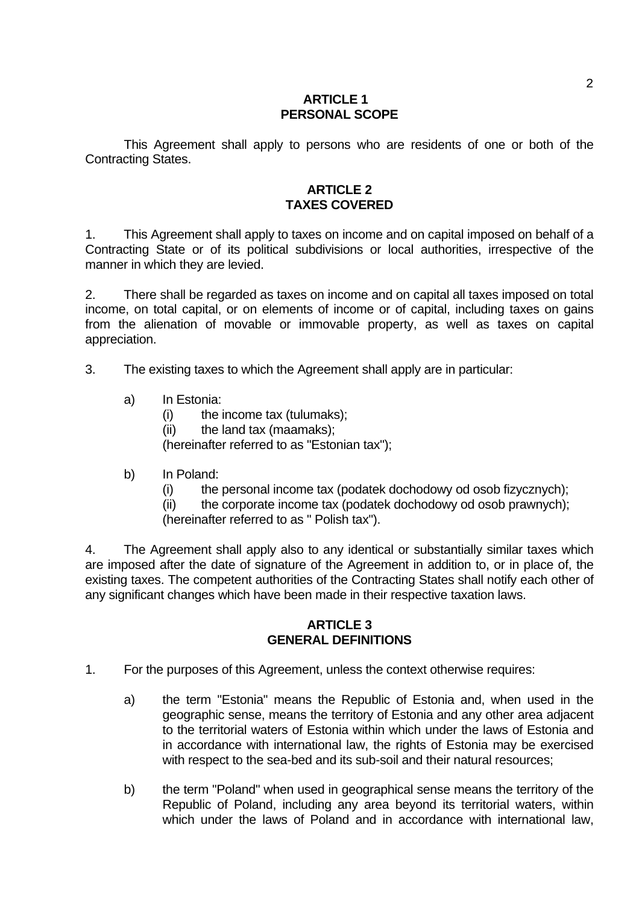## **ARTICLE 1 PERSONAL SCOPE**

 This Agreement shall apply to persons who are residents of one or both of the Contracting States.

# **ARTICLE 2 TAXES COVERED**

1. This Agreement shall apply to taxes on income and on capital imposed on behalf of a Contracting State or of its political subdivisions or local authorities, irrespective of the manner in which they are levied.

2. There shall be regarded as taxes on income and on capital all taxes imposed on total income, on total capital, or on elements of income or of capital, including taxes on gains from the alienation of movable or immovable property, as well as taxes on capital appreciation.

3. The existing taxes to which the Agreement shall apply are in particular:

- a) In Estonia:
	- (i) the income tax (tulumaks);
	- (ii) the land tax (maamaks);

(hereinafter referred to as "Estonian tax");

- b) In Poland:
	- (i) the personal income tax (podatek dochodowy od osob fizycznych);

 (ii) the corporate income tax (podatek dochodowy od osob prawnych); (hereinafter referred to as " Polish tax").

4. The Agreement shall apply also to any identical or substantially similar taxes which are imposed after the date of signature of the Agreement in addition to, or in place of, the existing taxes. The competent authorities of the Contracting States shall notify each other of any significant changes which have been made in their respective taxation laws.

## **ARTICLE 3 GENERAL DEFINITIONS**

- 1. For the purposes of this Agreement, unless the context otherwise requires:
	- a) the term "Estonia" means the Republic of Estonia and, when used in the geographic sense, means the territory of Estonia and any other area adjacent to the territorial waters of Estonia within which under the laws of Estonia and in accordance with international law, the rights of Estonia may be exercised with respect to the sea-bed and its sub-soil and their natural resources:
	- b) the term "Poland" when used in geographical sense means the territory of the Republic of Poland, including any area beyond its territorial waters, within which under the laws of Poland and in accordance with international law.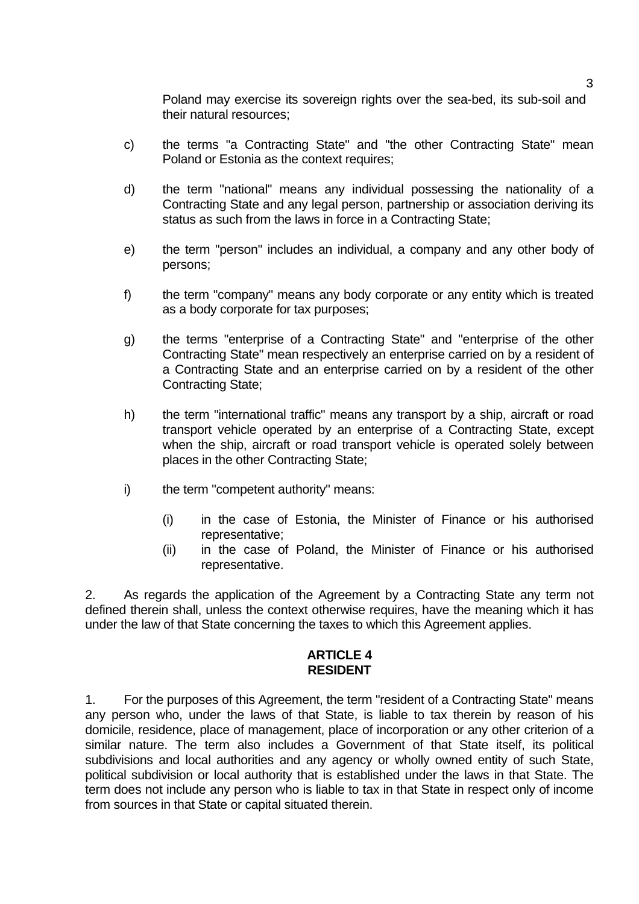Poland may exercise its sovereign rights over the sea-bed, its sub-soil and their natural resources;

- c) the terms "a Contracting State" and "the other Contracting State" mean Poland or Estonia as the context requires;
- d) the term "national" means any individual possessing the nationality of a Contracting State and any legal person, partnership or association deriving its status as such from the laws in force in a Contracting State;
- e) the term "person" includes an individual, a company and any other body of persons;
- f) the term "company" means any body corporate or any entity which is treated as a body corporate for tax purposes;
- g) the terms "enterprise of a Contracting State" and "enterprise of the other Contracting State" mean respectively an enterprise carried on by a resident of a Contracting State and an enterprise carried on by a resident of the other Contracting State;
- h) the term "international traffic" means any transport by a ship, aircraft or road transport vehicle operated by an enterprise of a Contracting State, except when the ship, aircraft or road transport vehicle is operated solely between places in the other Contracting State;
- i) the term "competent authority" means:
	- (i) in the case of Estonia, the Minister of Finance or his authorised representative;
	- (ii) in the case of Poland, the Minister of Finance or his authorised representative.

2. As regards the application of the Agreement by a Contracting State any term not defined therein shall, unless the context otherwise requires, have the meaning which it has under the law of that State concerning the taxes to which this Agreement applies.

## **ARTICLE 4 RESIDENT**

1. For the purposes of this Agreement, the term "resident of a Contracting State" means any person who, under the laws of that State, is liable to tax therein by reason of his domicile, residence, place of management, place of incorporation or any other criterion of a similar nature. The term also includes a Government of that State itself, its political subdivisions and local authorities and any agency or wholly owned entity of such State, political subdivision or local authority that is established under the laws in that State. The term does not include any person who is liable to tax in that State in respect only of income from sources in that State or capital situated therein.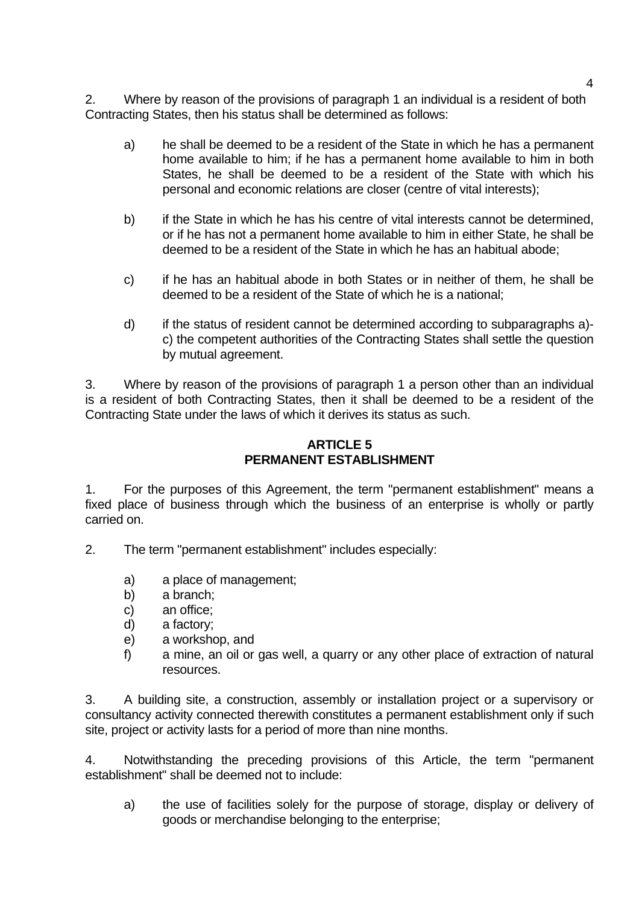2. Where by reason of the provisions of paragraph 1 an individual is a resident of both Contracting States, then his status shall be determined as follows:

- a) he shall be deemed to be a resident of the State in which he has a permanent home available to him; if he has a permanent home available to him in both States, he shall be deemed to be a resident of the State with which his personal and economic relations are closer (centre of vital interests);
- b) if the State in which he has his centre of vital interests cannot be determined, or if he has not a permanent home available to him in either State, he shall be deemed to be a resident of the State in which he has an habitual abode;
- c) if he has an habitual abode in both States or in neither of them, he shall be deemed to be a resident of the State of which he is a national;
- d) if the status of resident cannot be determined according to subparagraphs a) c) the competent authorities of the Contracting States shall settle the question by mutual agreement.

3. Where by reason of the provisions of paragraph 1 a person other than an individual is a resident of both Contracting States, then it shall be deemed to be a resident of the Contracting State under the laws of which it derives its status as such.

# **ARTICLE 5 PERMANENT ESTABLISHMENT**

1. For the purposes of this Agreement, the term "permanent establishment" means a fixed place of business through which the business of an enterprise is wholly or partly carried on.

- 2. The term "permanent establishment" includes especially:
	- a) a place of management;
	- b) a branch;
	- c) an office;
	- d) a factory;
	- e) a workshop, and
	- f) a mine, an oil or gas well, a quarry or any other place of extraction of natural resources.

3. A building site, a construction, assembly or installation project or a supervisory or consultancy activity connected therewith constitutes a permanent establishment only if such site, project or activity lasts for a period of more than nine months.

4. Notwithstanding the preceding provisions of this Article, the term "permanent establishment" shall be deemed not to include:

 a) the use of facilities solely for the purpose of storage, display or delivery of goods or merchandise belonging to the enterprise;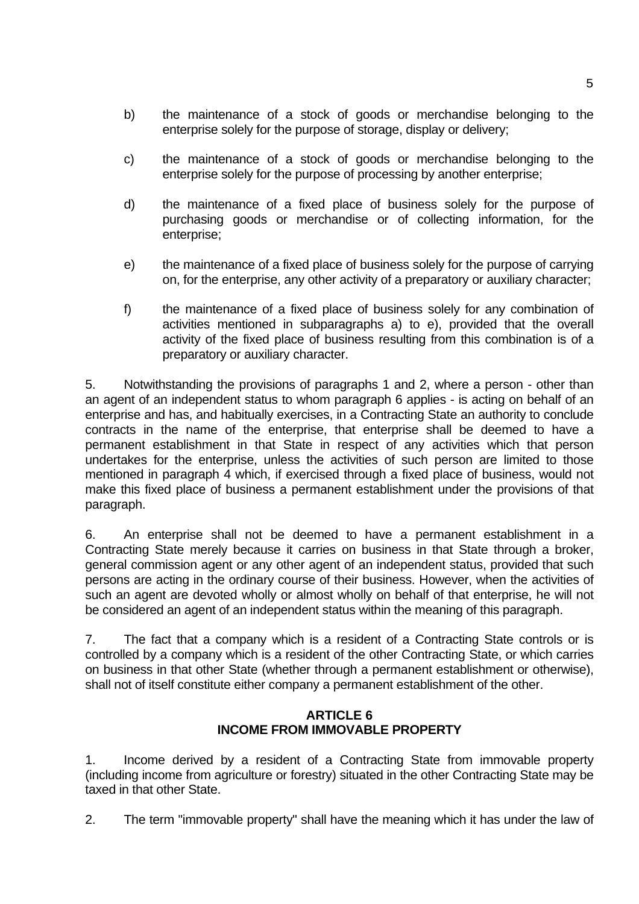- b) the maintenance of a stock of goods or merchandise belonging to the enterprise solely for the purpose of storage, display or delivery;
- c) the maintenance of a stock of goods or merchandise belonging to the enterprise solely for the purpose of processing by another enterprise;
- d) the maintenance of a fixed place of business solely for the purpose of purchasing goods or merchandise or of collecting information, for the enterprise;
- e) the maintenance of a fixed place of business solely for the purpose of carrying on, for the enterprise, any other activity of a preparatory or auxiliary character;
- f) the maintenance of a fixed place of business solely for any combination of activities mentioned in subparagraphs a) to e), provided that the overall activity of the fixed place of business resulting from this combination is of a preparatory or auxiliary character.

5. Notwithstanding the provisions of paragraphs 1 and 2, where a person - other than an agent of an independent status to whom paragraph 6 applies - is acting on behalf of an enterprise and has, and habitually exercises, in a Contracting State an authority to conclude contracts in the name of the enterprise, that enterprise shall be deemed to have a permanent establishment in that State in respect of any activities which that person undertakes for the enterprise, unless the activities of such person are limited to those mentioned in paragraph 4 which, if exercised through a fixed place of business, would not make this fixed place of business a permanent establishment under the provisions of that paragraph.

6. An enterprise shall not be deemed to have a permanent establishment in a Contracting State merely because it carries on business in that State through a broker, general commission agent or any other agent of an independent status, provided that such persons are acting in the ordinary course of their business. However, when the activities of such an agent are devoted wholly or almost wholly on behalf of that enterprise, he will not be considered an agent of an independent status within the meaning of this paragraph.

7. The fact that a company which is a resident of a Contracting State controls or is controlled by a company which is a resident of the other Contracting State, or which carries on business in that other State (whether through a permanent establishment or otherwise), shall not of itself constitute either company a permanent establishment of the other.

## **ARTICLE 6 INCOME FROM IMMOVABLE PROPERTY**

1. Income derived by a resident of a Contracting State from immovable property (including income from agriculture or forestry) situated in the other Contracting State may be taxed in that other State.

2. The term "immovable property" shall have the meaning which it has under the law of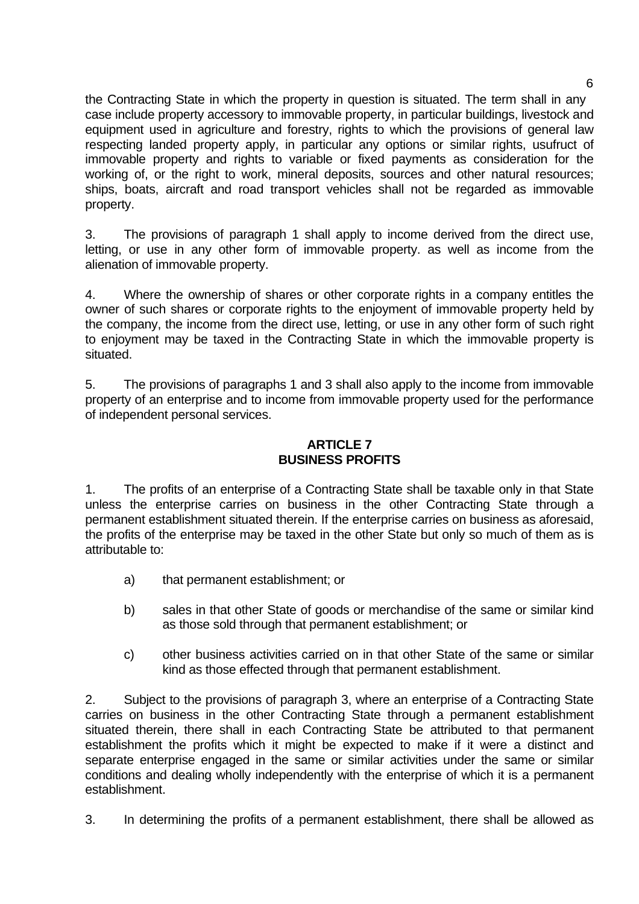the Contracting State in which the property in question is situated. The term shall in any case include property accessory to immovable property, in particular buildings, livestock and equipment used in agriculture and forestry, rights to which the provisions of general law respecting landed property apply, in particular any options or similar rights, usufruct of immovable property and rights to variable or fixed payments as consideration for the working of, or the right to work, mineral deposits, sources and other natural resources; ships, boats, aircraft and road transport vehicles shall not be regarded as immovable property.

3. The provisions of paragraph 1 shall apply to income derived from the direct use, letting, or use in any other form of immovable property. as well as income from the alienation of immovable property.

4. Where the ownership of shares or other corporate rights in a company entitles the owner of such shares or corporate rights to the enjoyment of immovable property held by the company, the income from the direct use, letting, or use in any other form of such right to enjoyment may be taxed in the Contracting State in which the immovable property is situated.

5. The provisions of paragraphs 1 and 3 shall also apply to the income from immovable property of an enterprise and to income from immovable property used for the performance of independent personal services.

# **ARTICLE 7 BUSINESS PROFITS**

1. The profits of an enterprise of a Contracting State shall be taxable only in that State unless the enterprise carries on business in the other Contracting State through a permanent establishment situated therein. If the enterprise carries on business as aforesaid, the profits of the enterprise may be taxed in the other State but only so much of them as is attributable to:

- a) that permanent establishment; or
- b) sales in that other State of goods or merchandise of the same or similar kind as those sold through that permanent establishment; or
- c) other business activities carried on in that other State of the same or similar kind as those effected through that permanent establishment.

2. Subject to the provisions of paragraph 3, where an enterprise of a Contracting State carries on business in the other Contracting State through a permanent establishment situated therein, there shall in each Contracting State be attributed to that permanent establishment the profits which it might be expected to make if it were a distinct and separate enterprise engaged in the same or similar activities under the same or similar conditions and dealing wholly independently with the enterprise of which it is a permanent establishment.

3. In determining the profits of a permanent establishment, there shall be allowed as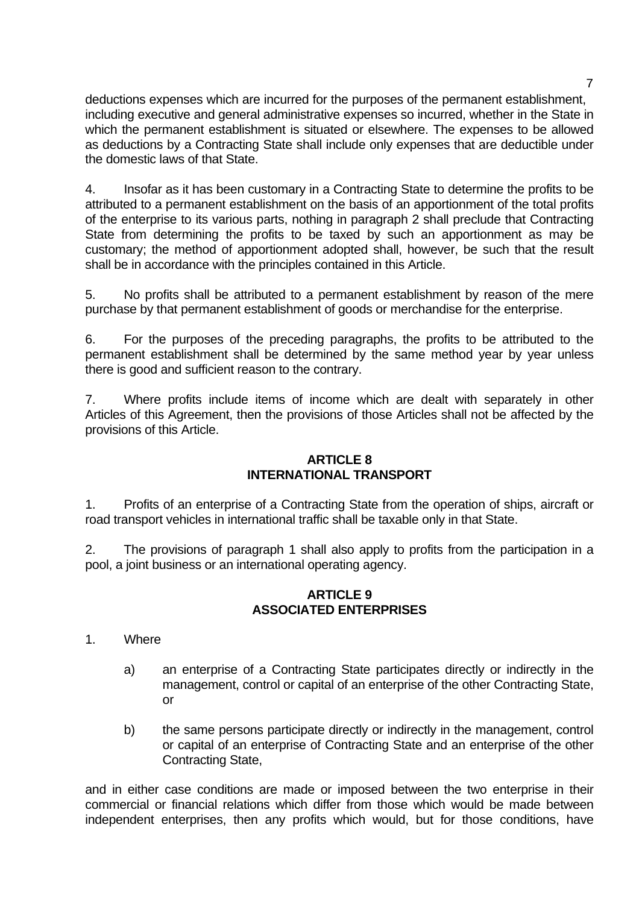deductions expenses which are incurred for the purposes of the permanent establishment, including executive and general administrative expenses so incurred, whether in the State in which the permanent establishment is situated or elsewhere. The expenses to be allowed as deductions by a Contracting State shall include only expenses that are deductible under the domestic laws of that State.

4. Insofar as it has been customary in a Contracting State to determine the profits to be attributed to a permanent establishment on the basis of an apportionment of the total profits of the enterprise to its various parts, nothing in paragraph 2 shall preclude that Contracting State from determining the profits to be taxed by such an apportionment as may be customary; the method of apportionment adopted shall, however, be such that the result shall be in accordance with the principles contained in this Article.

5. No profits shall be attributed to a permanent establishment by reason of the mere purchase by that permanent establishment of goods or merchandise for the enterprise.

6. For the purposes of the preceding paragraphs, the profits to be attributed to the permanent establishment shall be determined by the same method year by year unless there is good and sufficient reason to the contrary.

7. Where profits include items of income which are dealt with separately in other Articles of this Agreement, then the provisions of those Articles shall not be affected by the provisions of this Article.

## **ARTICLE 8 INTERNATIONAL TRANSPORT**

1. Profits of an enterprise of a Contracting State from the operation of ships, aircraft or road transport vehicles in international traffic shall be taxable only in that State.

2. The provisions of paragraph 1 shall also apply to profits from the participation in a pool, a joint business or an international operating agency.

## **ARTICLE 9 ASSOCIATED ENTERPRISES**

- 1. Where
	- a) an enterprise of a Contracting State participates directly or indirectly in the management, control or capital of an enterprise of the other Contracting State, or
	- b) the same persons participate directly or indirectly in the management, control or capital of an enterprise of Contracting State and an enterprise of the other Contracting State,

and in either case conditions are made or imposed between the two enterprise in their commercial or financial relations which differ from those which would be made between independent enterprises, then any profits which would, but for those conditions, have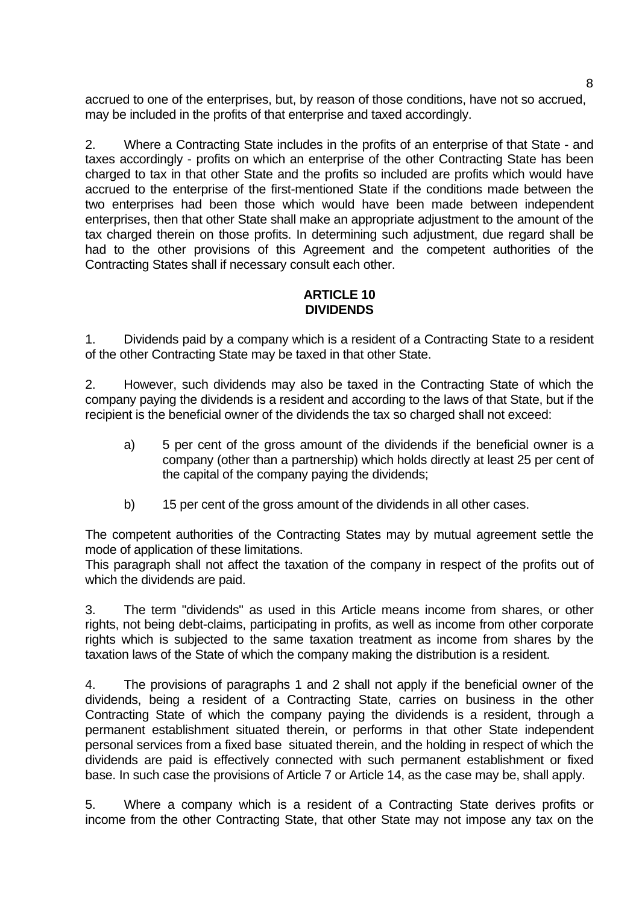accrued to one of the enterprises, but, by reason of those conditions, have not so accrued, may be included in the profits of that enterprise and taxed accordingly.

2. Where a Contracting State includes in the profits of an enterprise of that State - and taxes accordingly - profits on which an enterprise of the other Contracting State has been charged to tax in that other State and the profits so included are profits which would have accrued to the enterprise of the first-mentioned State if the conditions made between the two enterprises had been those which would have been made between independent enterprises, then that other State shall make an appropriate adjustment to the amount of the tax charged therein on those profits. In determining such adjustment, due regard shall be had to the other provisions of this Agreement and the competent authorities of the Contracting States shall if necessary consult each other.

# **ARTICLE 10 DIVIDENDS**

1. Dividends paid by a company which is a resident of a Contracting State to a resident of the other Contracting State may be taxed in that other State.

2. However, such dividends may also be taxed in the Contracting State of which the company paying the dividends is a resident and according to the laws of that State, but if the recipient is the beneficial owner of the dividends the tax so charged shall not exceed:

- a) 5 per cent of the gross amount of the dividends if the beneficial owner is a company (other than a partnership) which holds directly at least 25 per cent of the capital of the company paying the dividends;
- b) 15 per cent of the gross amount of the dividends in all other cases.

The competent authorities of the Contracting States may by mutual agreement settle the mode of application of these limitations.

This paragraph shall not affect the taxation of the company in respect of the profits out of which the dividends are paid.

3. The term "dividends" as used in this Article means income from shares, or other rights, not being debt-claims, participating in profits, as well as income from other corporate rights which is subjected to the same taxation treatment as income from shares by the taxation laws of the State of which the company making the distribution is a resident.

4. The provisions of paragraphs 1 and 2 shall not apply if the beneficial owner of the dividends, being a resident of a Contracting State, carries on business in the other Contracting State of which the company paying the dividends is a resident, through a permanent establishment situated therein, or performs in that other State independent personal services from a fixed base situated therein, and the holding in respect of which the dividends are paid is effectively connected with such permanent establishment or fixed base. In such case the provisions of Article 7 or Article 14, as the case may be, shall apply.

5. Where a company which is a resident of a Contracting State derives profits or income from the other Contracting State, that other State may not impose any tax on the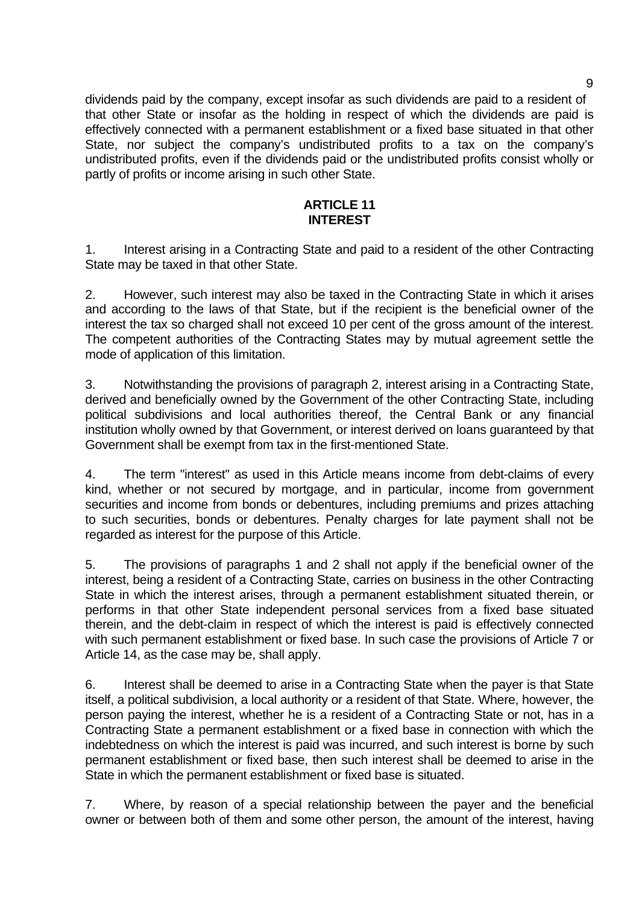dividends paid by the company, except insofar as such dividends are paid to a resident of that other State or insofar as the holding in respect of which the dividends are paid is effectively connected with a permanent establishment or a fixed base situated in that other State, nor subject the company's undistributed profits to a tax on the company's undistributed profits, even if the dividends paid or the undistributed profits consist wholly or partly of profits or income arising in such other State.

## **ARTICLE 11 INTEREST**

1. Interest arising in a Contracting State and paid to a resident of the other Contracting State may be taxed in that other State.

2. However, such interest may also be taxed in the Contracting State in which it arises and according to the laws of that State, but if the recipient is the beneficial owner of the interest the tax so charged shall not exceed 10 per cent of the gross amount of the interest. The competent authorities of the Contracting States may by mutual agreement settle the mode of application of this limitation.

3. Notwithstanding the provisions of paragraph 2, interest arising in a Contracting State, derived and beneficially owned by the Government of the other Contracting State, including political subdivisions and local authorities thereof, the Central Bank or any financial institution wholly owned by that Government, or interest derived on loans guaranteed by that Government shall be exempt from tax in the first-mentioned State.

4. The term "interest" as used in this Article means income from debt-claims of every kind, whether or not secured by mortgage, and in particular, income from government securities and income from bonds or debentures, including premiums and prizes attaching to such securities, bonds or debentures. Penalty charges for late payment shall not be regarded as interest for the purpose of this Article.

5. The provisions of paragraphs 1 and 2 shall not apply if the beneficial owner of the interest, being a resident of a Contracting State, carries on business in the other Contracting State in which the interest arises, through a permanent establishment situated therein, or performs in that other State independent personal services from a fixed base situated therein, and the debt-claim in respect of which the interest is paid is effectively connected with such permanent establishment or fixed base. In such case the provisions of Article 7 or Article 14, as the case may be, shall apply.

6. Interest shall be deemed to arise in a Contracting State when the payer is that State itself, a political subdivision, a local authority or a resident of that State. Where, however, the person paying the interest, whether he is a resident of a Contracting State or not, has in a Contracting State a permanent establishment or a fixed base in connection with which the indebtedness on which the interest is paid was incurred, and such interest is borne by such permanent establishment or fixed base, then such interest shall be deemed to arise in the State in which the permanent establishment or fixed base is situated.

7. Where, by reason of a special relationship between the payer and the beneficial owner or between both of them and some other person, the amount of the interest, having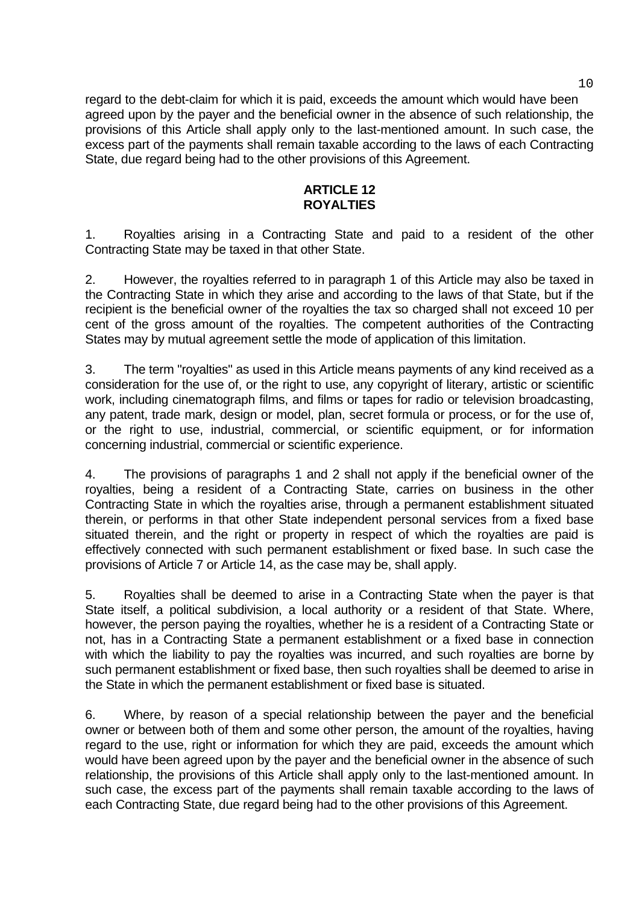regard to the debt-claim for which it is paid, exceeds the amount which would have been agreed upon by the payer and the beneficial owner in the absence of such relationship, the provisions of this Article shall apply only to the last-mentioned amount. In such case, the excess part of the payments shall remain taxable according to the laws of each Contracting State, due regard being had to the other provisions of this Agreement.

## **ARTICLE 12 ROYALTIES**

1. Royalties arising in a Contracting State and paid to a resident of the other Contracting State may be taxed in that other State.

2. However, the royalties referred to in paragraph 1 of this Article may also be taxed in the Contracting State in which they arise and according to the laws of that State, but if the recipient is the beneficial owner of the royalties the tax so charged shall not exceed 10 per cent of the gross amount of the royalties. The competent authorities of the Contracting States may by mutual agreement settle the mode of application of this limitation.

3. The term "royalties" as used in this Article means payments of any kind received as a consideration for the use of, or the right to use, any copyright of literary, artistic or scientific work, including cinematograph films, and films or tapes for radio or television broadcasting, any patent, trade mark, design or model, plan, secret formula or process, or for the use of, or the right to use, industrial, commercial, or scientific equipment, or for information concerning industrial, commercial or scientific experience.

4. The provisions of paragraphs 1 and 2 shall not apply if the beneficial owner of the royalties, being a resident of a Contracting State, carries on business in the other Contracting State in which the royalties arise, through a permanent establishment situated therein, or performs in that other State independent personal services from a fixed base situated therein, and the right or property in respect of which the royalties are paid is effectively connected with such permanent establishment or fixed base. In such case the provisions of Article 7 or Article 14, as the case may be, shall apply.

5. Royalties shall be deemed to arise in a Contracting State when the payer is that State itself, a political subdivision, a local authority or a resident of that State. Where, however, the person paying the royalties, whether he is a resident of a Contracting State or not, has in a Contracting State a permanent establishment or a fixed base in connection with which the liability to pay the royalties was incurred, and such royalties are borne by such permanent establishment or fixed base, then such royalties shall be deemed to arise in the State in which the permanent establishment or fixed base is situated.

6. Where, by reason of a special relationship between the payer and the beneficial owner or between both of them and some other person, the amount of the royalties, having regard to the use, right or information for which they are paid, exceeds the amount which would have been agreed upon by the payer and the beneficial owner in the absence of such relationship, the provisions of this Article shall apply only to the last-mentioned amount. In such case, the excess part of the payments shall remain taxable according to the laws of each Contracting State, due regard being had to the other provisions of this Agreement.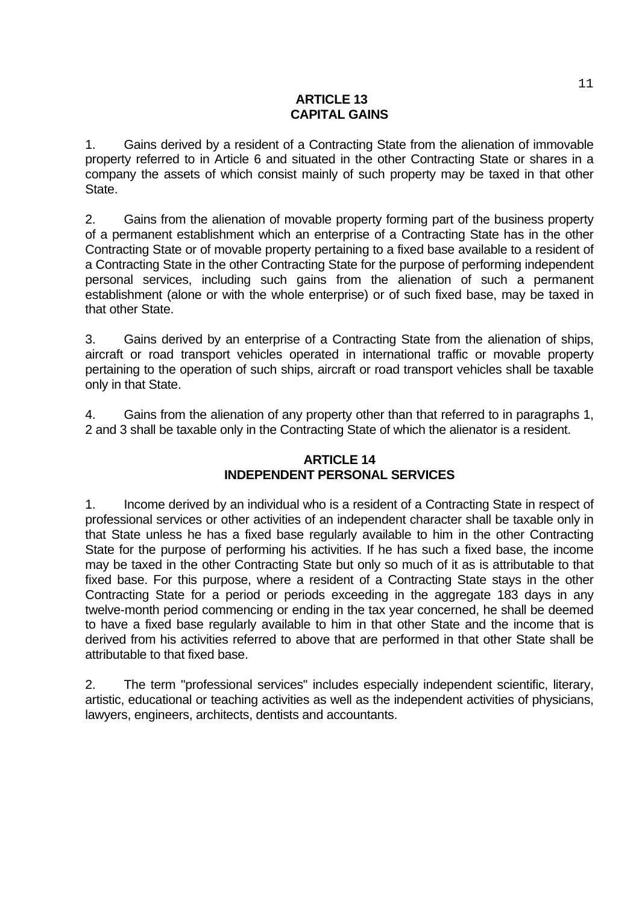## **ARTICLE 13 CAPITAL GAINS**

1. Gains derived by a resident of a Contracting State from the alienation of immovable property referred to in Article 6 and situated in the other Contracting State or shares in a company the assets of which consist mainly of such property may be taxed in that other State.

2. Gains from the alienation of movable property forming part of the business property of a permanent establishment which an enterprise of a Contracting State has in the other Contracting State or of movable property pertaining to a fixed base available to a resident of a Contracting State in the other Contracting State for the purpose of performing independent personal services, including such gains from the alienation of such a permanent establishment (alone or with the whole enterprise) or of such fixed base, may be taxed in that other State.

3. Gains derived by an enterprise of a Contracting State from the alienation of ships, aircraft or road transport vehicles operated in international traffic or movable property pertaining to the operation of such ships, aircraft or road transport vehicles shall be taxable only in that State.

4. Gains from the alienation of any property other than that referred to in paragraphs 1, 2 and 3 shall be taxable only in the Contracting State of which the alienator is a resident.

# **ARTICLE 14 INDEPENDENT PERSONAL SERVICES**

1. Income derived by an individual who is a resident of a Contracting State in respect of professional services or other activities of an independent character shall be taxable only in that State unless he has a fixed base regularly available to him in the other Contracting State for the purpose of performing his activities. If he has such a fixed base, the income may be taxed in the other Contracting State but only so much of it as is attributable to that fixed base. For this purpose, where a resident of a Contracting State stays in the other Contracting State for a period or periods exceeding in the aggregate 183 days in any twelve-month period commencing or ending in the tax year concerned, he shall be deemed to have a fixed base regularly available to him in that other State and the income that is derived from his activities referred to above that are performed in that other State shall be attributable to that fixed base.

2. The term "professional services" includes especially independent scientific, literary, artistic, educational or teaching activities as well as the independent activities of physicians, lawyers, engineers, architects, dentists and accountants.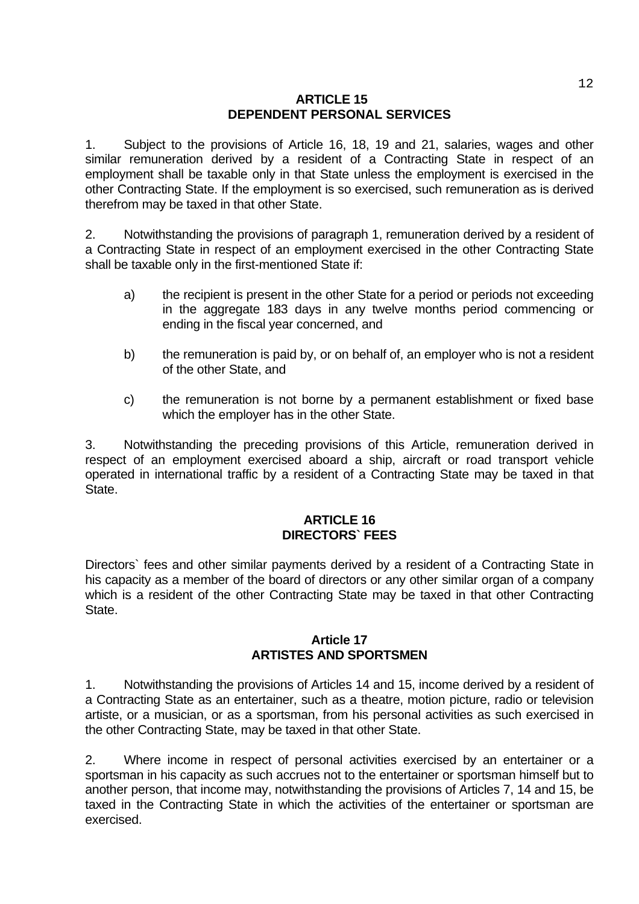## **ARTICLE 15 DEPENDENT PERSONAL SERVICES**

1. Subject to the provisions of Article 16, 18, 19 and 21, salaries, wages and other similar remuneration derived by a resident of a Contracting State in respect of an employment shall be taxable only in that State unless the employment is exercised in the other Contracting State. If the employment is so exercised, such remuneration as is derived therefrom may be taxed in that other State.

2. Notwithstanding the provisions of paragraph 1, remuneration derived by a resident of a Contracting State in respect of an employment exercised in the other Contracting State shall be taxable only in the first-mentioned State if:

- a) the recipient is present in the other State for a period or periods not exceeding in the aggregate 183 days in any twelve months period commencing or ending in the fiscal year concerned, and
- b) the remuneration is paid by, or on behalf of, an employer who is not a resident of the other State, and
- c) the remuneration is not borne by a permanent establishment or fixed base which the employer has in the other State.

3. Notwithstanding the preceding provisions of this Article, remuneration derived in respect of an employment exercised aboard a ship, aircraft or road transport vehicle operated in international traffic by a resident of a Contracting State may be taxed in that State.

#### **ARTICLE 16 DIRECTORS` FEES**

Directors` fees and other similar payments derived by a resident of a Contracting State in his capacity as a member of the board of directors or any other similar organ of a company which is a resident of the other Contracting State may be taxed in that other Contracting State.

#### **Article 17 ARTISTES AND SPORTSMEN**

1. Notwithstanding the provisions of Articles 14 and 15, income derived by a resident of a Contracting State as an entertainer, such as a theatre, motion picture, radio or television artiste, or a musician, or as a sportsman, from his personal activities as such exercised in the other Contracting State, may be taxed in that other State.

2. Where income in respect of personal activities exercised by an entertainer or a sportsman in his capacity as such accrues not to the entertainer or sportsman himself but to another person, that income may, notwithstanding the provisions of Articles 7, 14 and 15, be taxed in the Contracting State in which the activities of the entertainer or sportsman are exercised.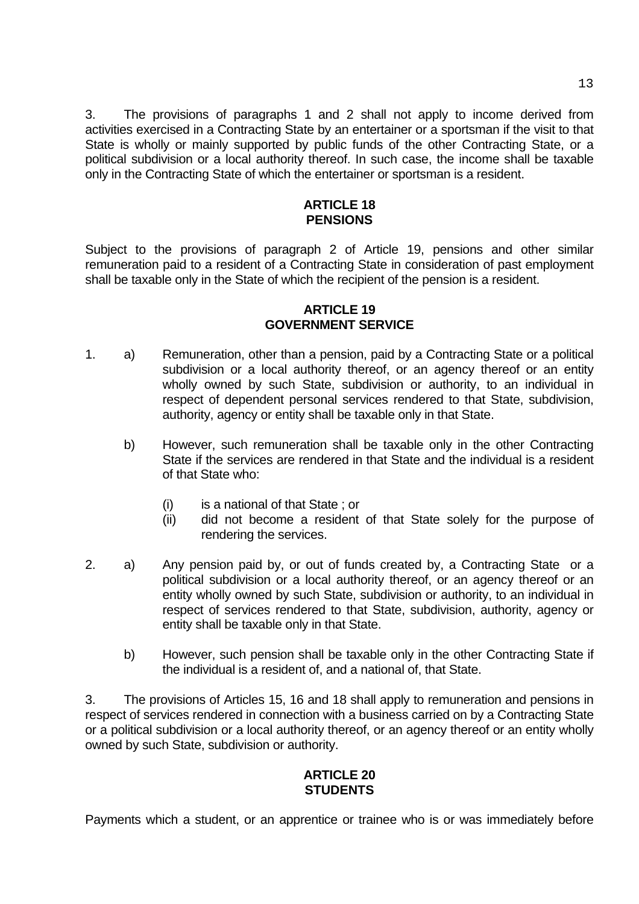3. The provisions of paragraphs 1 and 2 shall not apply to income derived from activities exercised in a Contracting State by an entertainer or a sportsman if the visit to that State is wholly or mainly supported by public funds of the other Contracting State, or a political subdivision or a local authority thereof. In such case, the income shall be taxable only in the Contracting State of which the entertainer or sportsman is a resident.

#### **ARTICLE 18 PENSIONS**

Subject to the provisions of paragraph 2 of Article 19, pensions and other similar remuneration paid to a resident of a Contracting State in consideration of past employment shall be taxable only in the State of which the recipient of the pension is a resident.

### **ARTICLE 19 GOVERNMENT SERVICE**

- 1. a) Remuneration, other than a pension, paid by a Contracting State or a political subdivision or a local authority thereof, or an agency thereof or an entity wholly owned by such State, subdivision or authority, to an individual in respect of dependent personal services rendered to that State, subdivision, authority, agency or entity shall be taxable only in that State.
	- b) However, such remuneration shall be taxable only in the other Contracting State if the services are rendered in that State and the individual is a resident of that State who:
		- (i) is a national of that State ; or
		- (ii) did not become a resident of that State solely for the purpose of rendering the services.
- 2. a) Any pension paid by, or out of funds created by, a Contracting State or a political subdivision or a local authority thereof, or an agency thereof or an entity wholly owned by such State, subdivision or authority, to an individual in respect of services rendered to that State, subdivision, authority, agency or entity shall be taxable only in that State.
	- b) However, such pension shall be taxable only in the other Contracting State if the individual is a resident of, and a national of, that State.

3. The provisions of Articles 15, 16 and 18 shall apply to remuneration and pensions in respect of services rendered in connection with a business carried on by a Contracting State or a political subdivision or a local authority thereof, or an agency thereof or an entity wholly owned by such State, subdivision or authority.

## **ARTICLE 20 STUDENTS**

Payments which a student, or an apprentice or trainee who is or was immediately before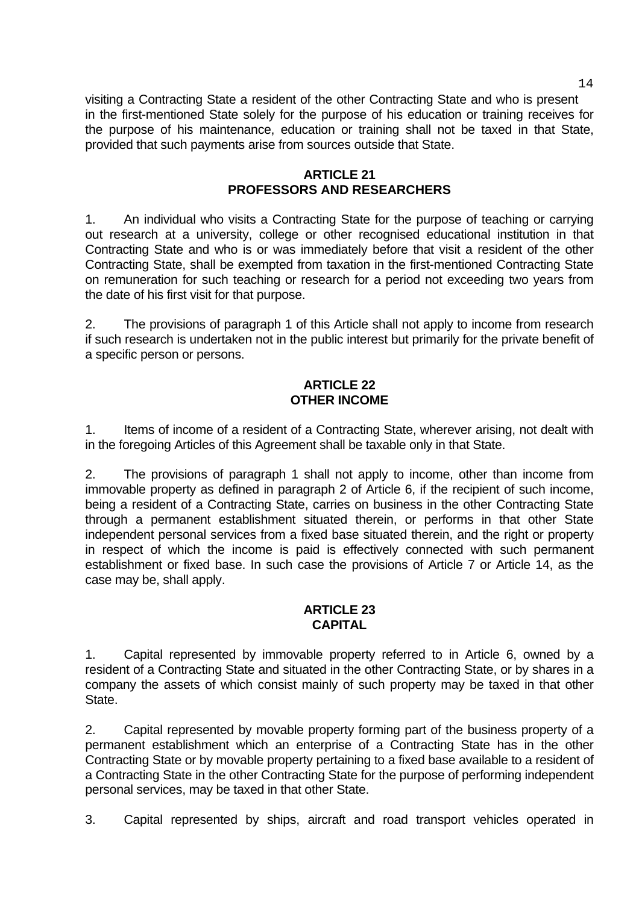visiting a Contracting State a resident of the other Contracting State and who is present in the first-mentioned State solely for the purpose of his education or training receives for the purpose of his maintenance, education or training shall not be taxed in that State, provided that such payments arise from sources outside that State.

### **ARTICLE 21 PROFESSORS AND RESEARCHERS**

1. An individual who visits a Contracting State for the purpose of teaching or carrying out research at a university, college or other recognised educational institution in that Contracting State and who is or was immediately before that visit a resident of the other Contracting State, shall be exempted from taxation in the first-mentioned Contracting State on remuneration for such teaching or research for a period not exceeding two years from the date of his first visit for that purpose.

2. The provisions of paragraph 1 of this Article shall not apply to income from research if such research is undertaken not in the public interest but primarily for the private benefit of a specific person or persons.

### **ARTICLE 22 OTHER INCOME**

1. Items of income of a resident of a Contracting State, wherever arising, not dealt with in the foregoing Articles of this Agreement shall be taxable only in that State.

2. The provisions of paragraph 1 shall not apply to income, other than income from immovable property as defined in paragraph 2 of Article 6, if the recipient of such income, being a resident of a Contracting State, carries on business in the other Contracting State through a permanent establishment situated therein, or performs in that other State independent personal services from a fixed base situated therein, and the right or property in respect of which the income is paid is effectively connected with such permanent establishment or fixed base. In such case the provisions of Article 7 or Article 14, as the case may be, shall apply.

## **ARTICLE 23 CAPITAL**

1. Capital represented by immovable property referred to in Article 6, owned by a resident of a Contracting State and situated in the other Contracting State, or by shares in a company the assets of which consist mainly of such property may be taxed in that other State.

2. Capital represented by movable property forming part of the business property of a permanent establishment which an enterprise of a Contracting State has in the other Contracting State or by movable property pertaining to a fixed base available to a resident of a Contracting State in the other Contracting State for the purpose of performing independent personal services, may be taxed in that other State.

3. Capital represented by ships, aircraft and road transport vehicles operated in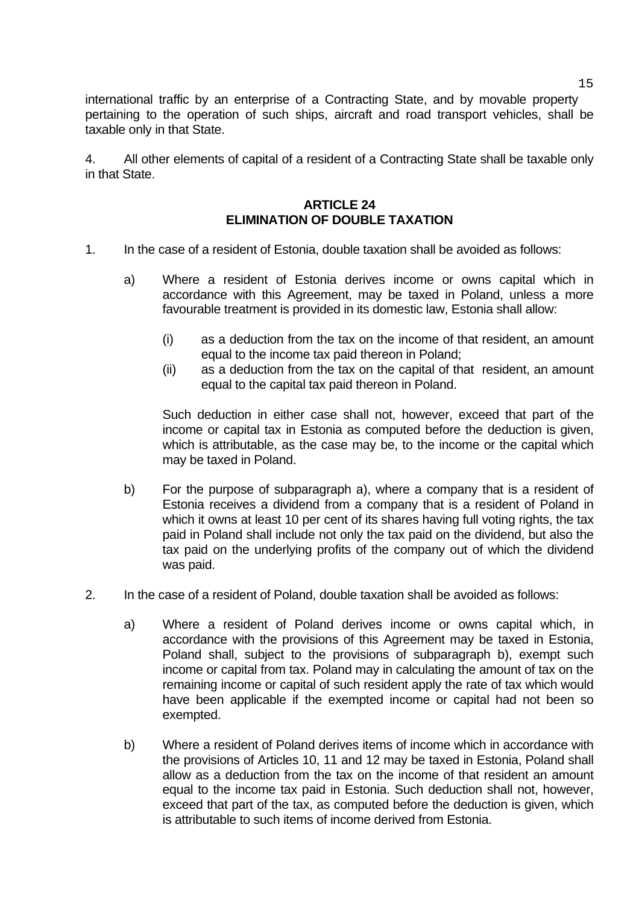international traffic by an enterprise of a Contracting State, and by movable property pertaining to the operation of such ships, aircraft and road transport vehicles, shall be taxable only in that State.

4. All other elements of capital of a resident of a Contracting State shall be taxable only in that State.

## **ARTICLE 24 ELIMINATION OF DOUBLE TAXATION**

- 1. In the case of a resident of Estonia, double taxation shall be avoided as follows:
	- a) Where a resident of Estonia derives income or owns capital which in accordance with this Agreement, may be taxed in Poland, unless a more favourable treatment is provided in its domestic law, Estonia shall allow:
		- (i) as a deduction from the tax on the income of that resident, an amount equal to the income tax paid thereon in Poland;
		- (ii) as a deduction from the tax on the capital of that resident, an amount equal to the capital tax paid thereon in Poland.

 Such deduction in either case shall not, however, exceed that part of the income or capital tax in Estonia as computed before the deduction is given, which is attributable, as the case may be, to the income or the capital which may be taxed in Poland.

- b) For the purpose of subparagraph a), where a company that is a resident of Estonia receives a dividend from a company that is a resident of Poland in which it owns at least 10 per cent of its shares having full voting rights, the tax paid in Poland shall include not only the tax paid on the dividend, but also the tax paid on the underlying profits of the company out of which the dividend was paid.
- 2. In the case of a resident of Poland, double taxation shall be avoided as follows:
	- a) Where a resident of Poland derives income or owns capital which, in accordance with the provisions of this Agreement may be taxed in Estonia, Poland shall, subject to the provisions of subparagraph b), exempt such income or capital from tax. Poland may in calculating the amount of tax on the remaining income or capital of such resident apply the rate of tax which would have been applicable if the exempted income or capital had not been so exempted.
	- b) Where a resident of Poland derives items of income which in accordance with the provisions of Articles 10, 11 and 12 may be taxed in Estonia, Poland shall allow as a deduction from the tax on the income of that resident an amount equal to the income tax paid in Estonia. Such deduction shall not, however, exceed that part of the tax, as computed before the deduction is given, which is attributable to such items of income derived from Estonia.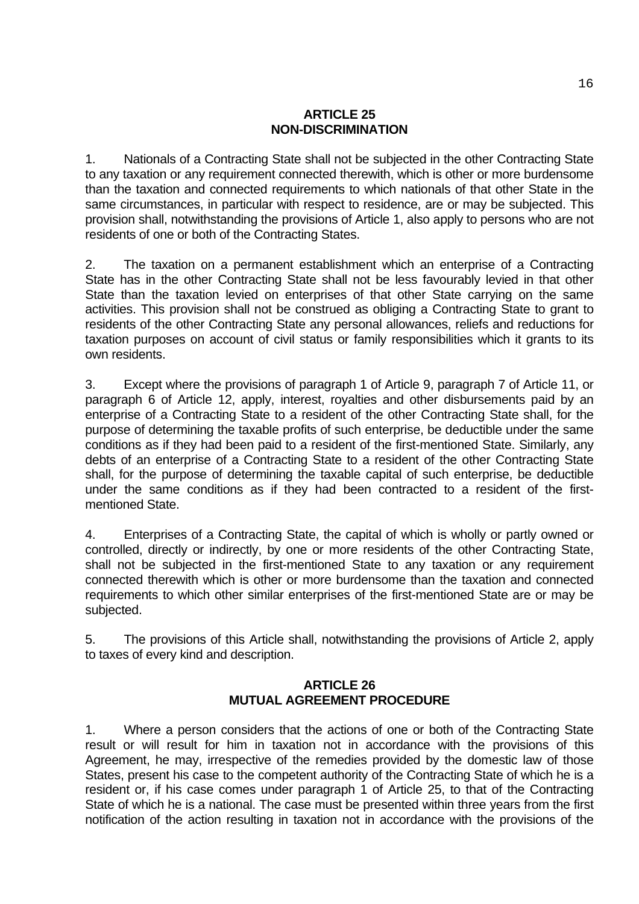## **ARTICLE 25 NON-DISCRIMINATION**

1. Nationals of a Contracting State shall not be subjected in the other Contracting State to any taxation or any requirement connected therewith, which is other or more burdensome than the taxation and connected requirements to which nationals of that other State in the same circumstances, in particular with respect to residence, are or may be subjected. This provision shall, notwithstanding the provisions of Article 1, also apply to persons who are not residents of one or both of the Contracting States.

2. The taxation on a permanent establishment which an enterprise of a Contracting State has in the other Contracting State shall not be less favourably levied in that other State than the taxation levied on enterprises of that other State carrying on the same activities. This provision shall not be construed as obliging a Contracting State to grant to residents of the other Contracting State any personal allowances, reliefs and reductions for taxation purposes on account of civil status or family responsibilities which it grants to its own residents.

3. Except where the provisions of paragraph 1 of Article 9, paragraph 7 of Article 11, or paragraph 6 of Article 12, apply, interest, royalties and other disbursements paid by an enterprise of a Contracting State to a resident of the other Contracting State shall, for the purpose of determining the taxable profits of such enterprise, be deductible under the same conditions as if they had been paid to a resident of the first-mentioned State. Similarly, any debts of an enterprise of a Contracting State to a resident of the other Contracting State shall, for the purpose of determining the taxable capital of such enterprise, be deductible under the same conditions as if they had been contracted to a resident of the firstmentioned State.

4. Enterprises of a Contracting State, the capital of which is wholly or partly owned or controlled, directly or indirectly, by one or more residents of the other Contracting State, shall not be subjected in the first-mentioned State to any taxation or any requirement connected therewith which is other or more burdensome than the taxation and connected requirements to which other similar enterprises of the first-mentioned State are or may be subjected.

5. The provisions of this Article shall, notwithstanding the provisions of Article 2, apply to taxes of every kind and description.

#### **ARTICLE 26 MUTUAL AGREEMENT PROCEDURE**

1. Where a person considers that the actions of one or both of the Contracting State result or will result for him in taxation not in accordance with the provisions of this Agreement, he may, irrespective of the remedies provided by the domestic law of those States, present his case to the competent authority of the Contracting State of which he is a resident or, if his case comes under paragraph 1 of Article 25, to that of the Contracting State of which he is a national. The case must be presented within three years from the first notification of the action resulting in taxation not in accordance with the provisions of the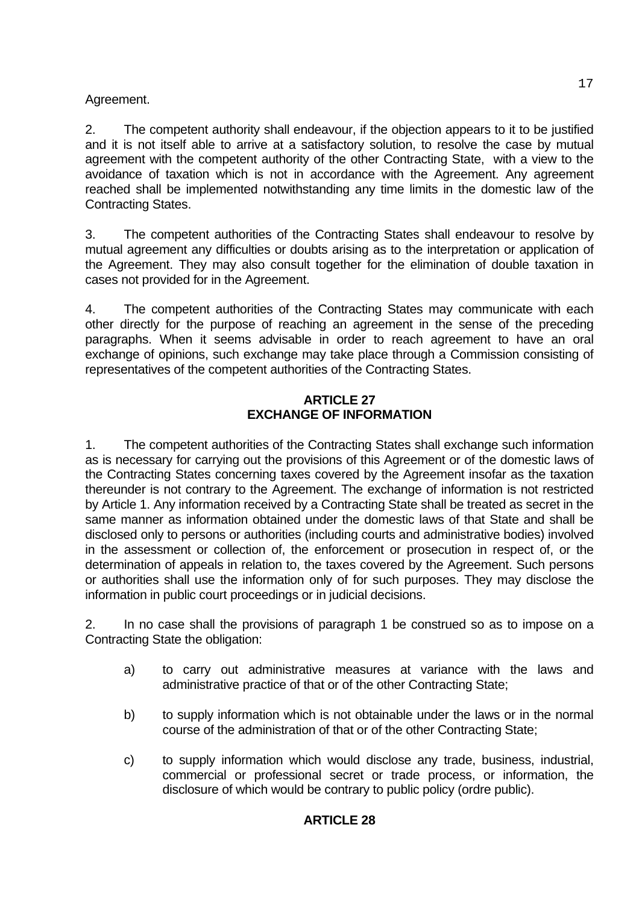# Agreement.

2. The competent authority shall endeavour, if the objection appears to it to be justified and it is not itself able to arrive at a satisfactory solution, to resolve the case by mutual agreement with the competent authority of the other Contracting State, with a view to the avoidance of taxation which is not in accordance with the Agreement. Any agreement reached shall be implemented notwithstanding any time limits in the domestic law of the Contracting States.

3. The competent authorities of the Contracting States shall endeavour to resolve by mutual agreement any difficulties or doubts arising as to the interpretation or application of the Agreement. They may also consult together for the elimination of double taxation in cases not provided for in the Agreement.

4. The competent authorities of the Contracting States may communicate with each other directly for the purpose of reaching an agreement in the sense of the preceding paragraphs. When it seems advisable in order to reach agreement to have an oral exchange of opinions, such exchange may take place through a Commission consisting of representatives of the competent authorities of the Contracting States.

# **ARTICLE 27 EXCHANGE OF INFORMATION**

1. The competent authorities of the Contracting States shall exchange such information as is necessary for carrying out the provisions of this Agreement or of the domestic laws of the Contracting States concerning taxes covered by the Agreement insofar as the taxation thereunder is not contrary to the Agreement. The exchange of information is not restricted by Article 1. Any information received by a Contracting State shall be treated as secret in the same manner as information obtained under the domestic laws of that State and shall be disclosed only to persons or authorities (including courts and administrative bodies) involved in the assessment or collection of, the enforcement or prosecution in respect of, or the determination of appeals in relation to, the taxes covered by the Agreement. Such persons or authorities shall use the information only of for such purposes. They may disclose the information in public court proceedings or in judicial decisions.

2. In no case shall the provisions of paragraph 1 be construed so as to impose on a Contracting State the obligation:

- a) to carry out administrative measures at variance with the laws and administrative practice of that or of the other Contracting State;
- b) to supply information which is not obtainable under the laws or in the normal course of the administration of that or of the other Contracting State;
- c) to supply information which would disclose any trade, business, industrial, commercial or professional secret or trade process, or information, the disclosure of which would be contrary to public policy (ordre public).

# **ARTICLE 28**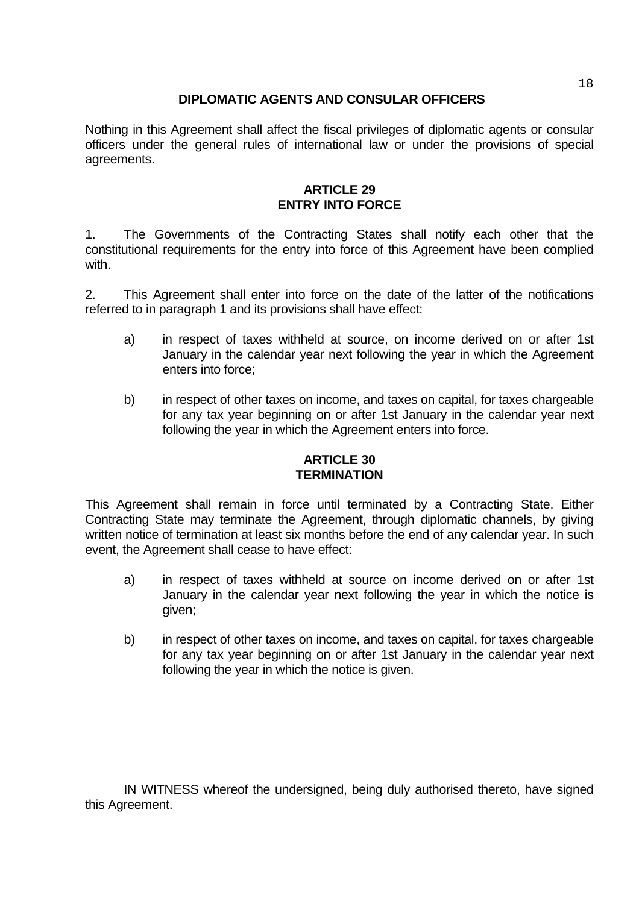## **DIPLOMATIC AGENTS AND CONSULAR OFFICERS**

Nothing in this Agreement shall affect the fiscal privileges of diplomatic agents or consular officers under the general rules of international law or under the provisions of special agreements.

## **ARTICLE 29 ENTRY INTO FORCE**

1. The Governments of the Contracting States shall notify each other that the constitutional requirements for the entry into force of this Agreement have been complied with.

2. This Agreement shall enter into force on the date of the latter of the notifications referred to in paragraph 1 and its provisions shall have effect:

- a) in respect of taxes withheld at source, on income derived on or after 1st January in the calendar year next following the year in which the Agreement enters into force;
- b) in respect of other taxes on income, and taxes on capital, for taxes chargeable for any tax year beginning on or after 1st January in the calendar year next following the year in which the Agreement enters into force.

# **ARTICLE 30 TERMINATION**

This Agreement shall remain in force until terminated by a Contracting State. Either Contracting State may terminate the Agreement, through diplomatic channels, by giving written notice of termination at least six months before the end of any calendar year. In such event, the Agreement shall cease to have effect:

- a) in respect of taxes withheld at source on income derived on or after 1st January in the calendar year next following the year in which the notice is given;
- b) in respect of other taxes on income, and taxes on capital, for taxes chargeable for any tax year beginning on or after 1st January in the calendar year next following the year in which the notice is given.

 IN WITNESS whereof the undersigned, being duly authorised thereto, have signed this Agreement.